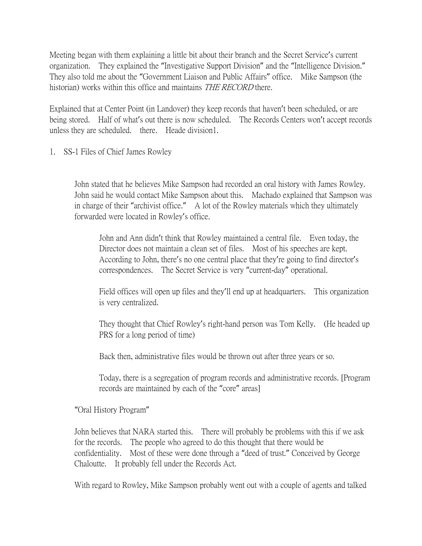Meeting began with them explaining a little bit about their branch and the Secret Service's current organization. They explained the "Investigative Support Division" and the "Intelligence Division." They also told me about the "Government Liaison and Public Affairs" office. Mike Sampson (the historian) works within this office and maintains THE RECORD there.

Explained that at Center Point (in Landover) they keep records that haven't been scheduled, or are being stored. Half of what's out there is now scheduled. The Records Centers won't accept records unless they are scheduled. there. Heade division1.

1. SS-1 Files of Chief James Rowley

John stated that he believes Mike Sampson had recorded an oral history with James Rowley. John said he would contact Mike Sampson about this. Machado explained that Sampson was in charge of their "archivist office." A lot of the Rowley materials which they ultimately forwarded were located in Rowley's office.

John and Ann didn't think that Rowley maintained a central file. Even today, the Director does not maintain a clean set of files. Most of his speeches are kept. According to John, there's no one central place that they're going to find director's correspondences. The Secret Service is very "current-day" operational.

Field offices will open up files and they'll end up at headquarters. This organization is very centralized.

They thought that Chief Rowley's right-hand person was Tom Kelly. (He headed up PRS for a long period of time)

Back then, administrative files would be thrown out after three years or so.

Today, there is a segregation of program records and administrative records. [Program records are maintained by each of the "core" areas]

"Oral History Program"

John believes that NARA started this. There will probably be problems with this if we ask for the records. The people who agreed to do this thought that there would be confidentiality. Most of these were done through a "deed of trust." Conceived by George Chaloutte. It probably fell under the Records Act.

With regard to Rowley, Mike Sampson probably went out with a couple of agents and talked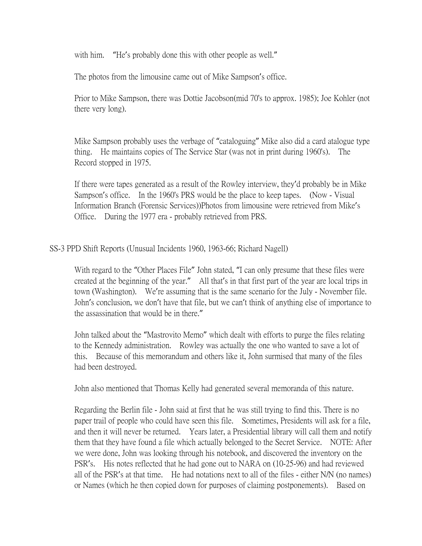with him. "He's probably done this with other people as well."

The photos from the limousine came out of Mike Sampson's office.

Prior to Mike Sampson, there was Dottie Jacobson(mid 70's to approx. 1985); Joe Kohler (not there very long).

Mike Sampson probably uses the verbage of "cataloguing" Mike also did a card atalogue type thing. He maintains copies of The Service Star (was not in print during 1960's). The Record stopped in 1975.

If there were tapes generated as a result of the Rowley interview, they'd probably be in Mike Sampson's office. In the 1960's PRS would be the place to keep tapes. (Now - Visual Information Branch (Forensic Services))Photos from limousine were retrieved from Mike's Office. During the 1977 era - probably retrieved from PRS.

SS-3 PPD Shift Reports (Unusual Incidents 1960, 1963-66; Richard Nagell)

With regard to the "Other Places File" John stated, "I can only presume that these files were created at the beginning of the year." All that's in that first part of the year are local trips in town (Washington). We're assuming that is the same scenario for the July - November file. John's conclusion, we don't have that file, but we can't think of anything else of importance to the assassination that would be in there."

John talked about the "Mastrovito Memo" which dealt with efforts to purge the files relating to the Kennedy administration. Rowley was actually the one who wanted to save a lot of this. Because of this memorandum and others like it, John surmised that many of the files had been destroyed.

John also mentioned that Thomas Kelly had generated several memoranda of this nature.

Regarding the Berlin file - John said at first that he was still trying to find this. There is no paper trail of people who could have seen this file. Sometimes, Presidents will ask for a file, and then it will never be returned. Years later, a Presidential library will call them and notify them that they have found a file which actually belonged to the Secret Service. NOTE: After we were done, John was looking through his notebook, and discovered the inventory on the PSR's. His notes reflected that he had gone out to NARA on (10-25-96) and had reviewed all of the PSR's at that time. He had notations next to all of the files - either N/N (no names) or Names (which he then copied down for purposes of claiming postponements). Based on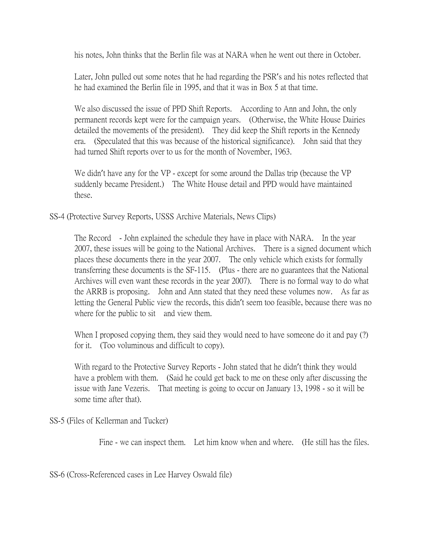his notes, John thinks that the Berlin file was at NARA when he went out there in October.

Later, John pulled out some notes that he had regarding the PSR's and his notes reflected that he had examined the Berlin file in 1995, and that it was in Box 5 at that time.

We also discussed the issue of PPD Shift Reports. According to Ann and John, the only permanent records kept were for the campaign years. (Otherwise, the White House Dairies detailed the movements of the president). They did keep the Shift reports in the Kennedy era. (Speculated that this was because of the historical significance). John said that they had turned Shift reports over to us for the month of November, 1963.

We didn't have any for the VP - except for some around the Dallas trip (because the VP suddenly became President.) The White House detail and PPD would have maintained these.

SS-4 (Protective Survey Reports, USSS Archive Materials, News Clips)

The Record - John explained the schedule they have in place with NARA. In the year 2007, these issues will be going to the National Archives. There is a signed document which places these documents there in the year 2007. The only vehicle which exists for formally transferring these documents is the SF-115. (Plus - there are no guarantees that the National Archives will even want these records in the year 2007). There is no formal way to do what the ARRB is proposing. John and Ann stated that they need these volumes now. As far as letting the General Public view the records, this didn't seem too feasible, because there was no where for the public to sit and view them.

When I proposed copying them, they said they would need to have someone do it and pay (?) for it. (Too voluminous and difficult to copy).

With regard to the Protective Survey Reports - John stated that he didn't think they would have a problem with them. (Said he could get back to me on these only after discussing the issue with Jane Vezeris. That meeting is going to occur on January 13, 1998 - so it will be some time after that).

SS-5 (Files of Kellerman and Tucker)

Fine - we can inspect them. Let him know when and where. (He still has the files.

SS-6 (Cross-Referenced cases in Lee Harvey Oswald file)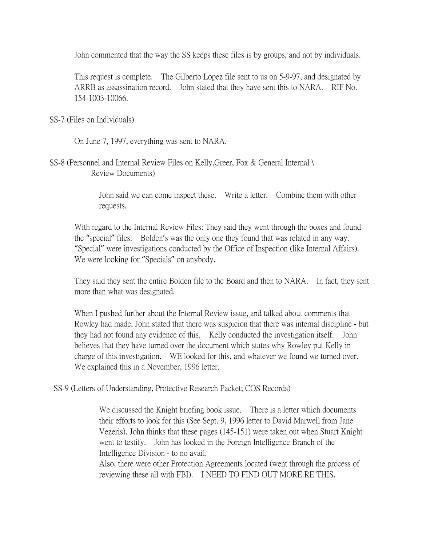John commented that the way the SS keeps these files is by groups, and not by individuals.

This request is complete. The Gilberto Lopez file sent to us on 5-9-97, and designated by ARRB as assassination record. John stated that they have sent this to NARA. RIF No. 154-1003-10066.

SS-7 (Files on Individuals)

On June 7, 1997, everything was sent to NARA.

SS-8 (Personnel and Internal Review Files on Kelly,Greer, Fox & General Internal \ Review Documents)

> John said we can come inspect these. Write a letter. Combine them with other requests.

With regard to the Internal Review Files: They said they went through the boxes and found the "special" files. Bolden's was the only one they found that was related in any way. "Special" were investigations conducted by the Office of Inspection (like Internal Affairs). We were looking for "Specials" on anybody.

They said they sent the entire Bolden file to the Board and then to NARA. In fact, they sent more than what was designated.

When I pushed further about the Internal Review issue, and talked about comments that Rowley had made, John stated that there was suspicion that there was internal discipline - but they had not found any evidence of this. Kelly conducted the investigation itself. John believes that they have turned over the document which states why Rowley put Kelly in charge of this investigation. WE looked for this, and whatever we found we turned over. We explained this in a November, 1996 letter.

SS-9 (Letters of Understanding, Protective Research Packet; COS Records)

We discussed the Knight briefing book issue. There is a letter which documents their efforts to look for this (See Sept. 9, 1996 letter to David Marwell from Jane Vezeris). John thinks that these pages (145-151) were taken out when Stuart Knight went to testify. John has looked in the Foreign Intelligence Branch of the Intelligence Division - to no avail.

Also, there were other Protection Agreements located (went through the process of reviewing these all with FBI). I NEED TO FIND OUT MORE RE THIS.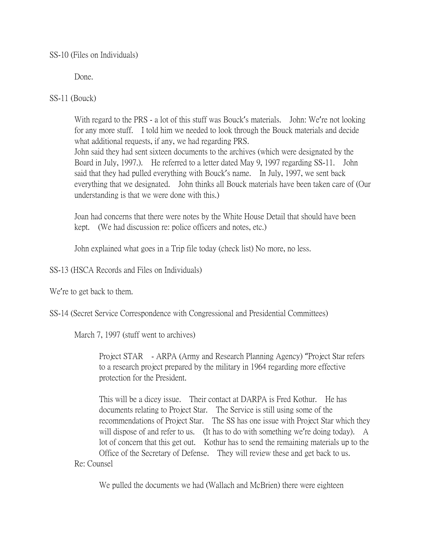Done.

SS-11 (Bouck)

With regard to the PRS - a lot of this stuff was Bouck's materials. John: We're not looking for any more stuff. I told him we needed to look through the Bouck materials and decide what additional requests, if any, we had regarding PRS. John said they had sent sixteen documents to the archives (which were designated by the Board in July, 1997.). He referred to a letter dated May 9, 1997 regarding SS-11. John said that they had pulled everything with Bouck's name. In July, 1997, we sent back everything that we designated. John thinks all Bouck materials have been taken care of (Our understanding is that we were done with this.)

Joan had concerns that there were notes by the White House Detail that should have been kept. (We had discussion re: police officers and notes, etc.)

John explained what goes in a Trip file today (check list) No more, no less.

SS-13 (HSCA Records and Files on Individuals)

We're to get back to them.

SS-14 (Secret Service Correspondence with Congressional and Presidential Committees)

March 7, 1997 (stuff went to archives)

Project STAR - ARPA (Army and Research Planning Agency) "Project Star refers to a research project prepared by the military in 1964 regarding more effective protection for the President.

This will be a dicey issue. Their contact at DARPA is Fred Kothur. He has documents relating to Project Star. The Service is still using some of the recommendations of Project Star. The SS has one issue with Project Star which they will dispose of and refer to us. (It has to do with something we're doing today). A lot of concern that this get out. Kothur has to send the remaining materials up to the Office of the Secretary of Defense. They will review these and get back to us. Re: Counsel

We pulled the documents we had (Wallach and McBrien) there were eighteen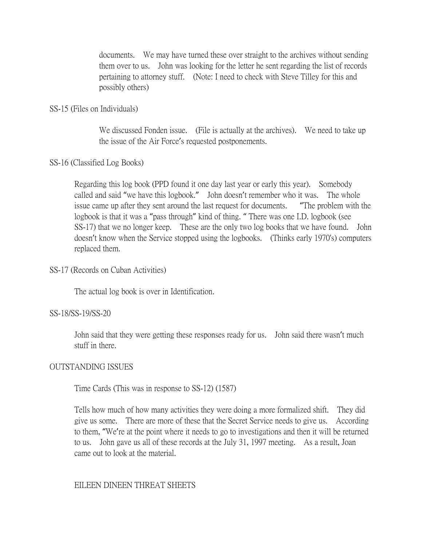documents. We may have turned these over straight to the archives without sending them over to us. John was looking for the letter he sent regarding the list of records pertaining to attorney stuff. (Note: I need to check with Steve Tilley for this and possibly others)

## SS-15 (Files on Individuals)

We discussed Fonden issue. (File is actually at the archives). We need to take up the issue of the Air Force's requested postponements.

# SS-16 (Classified Log Books)

Regarding this log book (PPD found it one day last year or early this year). Somebody called and said "we have this logbook." John doesn't remember who it was. The whole issue came up after they sent around the last request for documents. "The problem with the logbook is that it was a "pass through" kind of thing. " There was one I.D. logbook (see SS-17) that we no longer keep. These are the only two log books that we have found. John doesn't know when the Service stopped using the logbooks. (Thinks early 1970's) computers replaced them.

# SS-17 (Records on Cuban Activities)

The actual log book is over in Identification.

### SS-18/SS-19/SS-20

John said that they were getting these responses ready for us. John said there wasn't much stuff in there.

### OUTSTANDING ISSUES

Time Cards (This was in response to SS-12) (1587)

Tells how much of how many activities they were doing a more formalized shift. They did give us some. There are more of these that the Secret Service needs to give us. According to them, "We're at the point where it needs to go to investigations and then it will be returned to us. John gave us all of these records at the July 31, 1997 meeting. As a result, Joan came out to look at the material.

# EILEEN DINEEN THREAT SHEETS